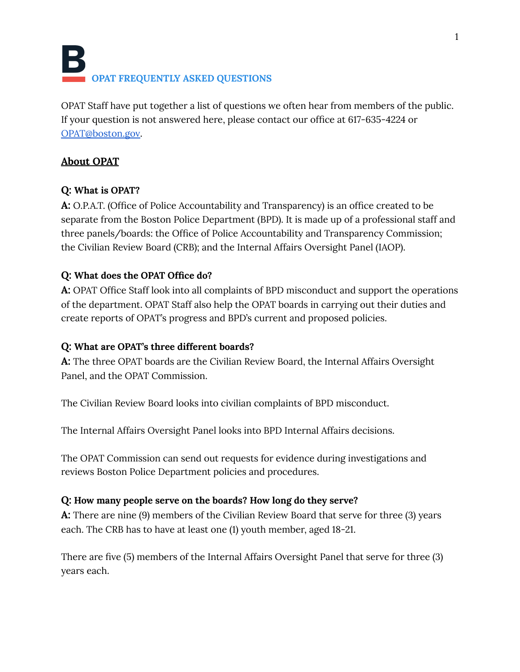# **OPAT FREQUENTLY ASKED QUESTIONS**

OPAT Staff have put together a list of questions we often hear from members of the public. If your question is not answered here, please contact our office at 617-635-4224 or [OPAT@boston.gov](mailto:OPAT@boston.gov).

## **About OPAT**

# **Q: What is OPAT?**

**A:** O.P.A.T. (Office of Police Accountability and Transparency) is an office created to be separate from the Boston Police Department (BPD). It is made up of a professional staff and three panels/boards: the Office of Police Accountability and Transparency Commission; the Civilian Review Board (CRB); and the Internal Affairs Oversight Panel (IAOP).

# **Q: What does the OPAT Office do?**

**A:** OPAT Office Staff look into all complaints of BPD misconduct and support the operations of the department. OPAT Staff also help the OPAT boards in carrying out their duties and create reports of OPAT's progress and BPD's current and proposed policies.

## **Q: What are OPAT's three different boards?**

**A:** The three OPAT boards are the Civilian Review Board, the Internal Affairs Oversight Panel, and the OPAT Commission.

The Civilian Review Board looks into civilian complaints of BPD misconduct.

The Internal Affairs Oversight Panel looks into BPD Internal Affairs decisions.

The OPAT Commission can send out requests for evidence during investigations and reviews Boston Police Department policies and procedures.

## **Q: How many people serve on the boards? How long do they serve?**

**A:** There are nine (9) members of the Civilian Review Board that serve for three (3) years each. The CRB has to have at least one (1) youth member, aged 18-21.

There are five (5) members of the Internal Affairs Oversight Panel that serve for three (3) years each.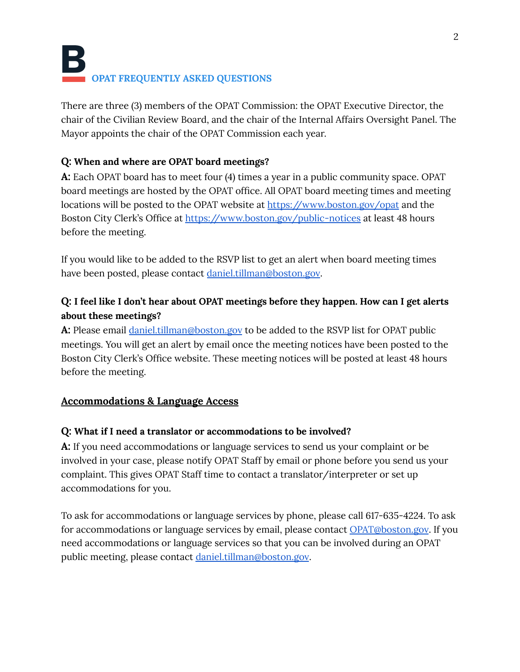There are three (3) members of the OPAT Commission: the OPAT Executive Director, the chair of the Civilian Review Board, and the chair of the Internal Affairs Oversight Panel. The Mayor appoints the chair of the OPAT Commission each year.

## **Q: When and where are OPAT board meetings?**

**A:** Each OPAT board has to meet four (4) times a year in a public community space. OPAT board meetings are hosted by the OPAT office. All OPAT board meeting times and meeting locations will be posted to the OPAT website at <https://www.boston.gov/opat> and the Boston City Clerk's Office at <https://www.boston.gov/public-notices> at least 48 hours before the meeting.

If you would like to be added to the RSVP list to get an alert when board meeting times have been posted, please contact [daniel.tillman@boston.gov](mailto:daniel.tillman@boston.gov).

# **Q: I feel like I don't hear about OPAT meetings before they happen. How can I get alerts about these meetings?**

**A:** Please email [daniel.tillman@boston.gov](mailto:daniel.tillman@boston.gov) to be added to the RSVP list for OPAT public meetings. You will get an alert by email once the meeting notices have been posted to the Boston City Clerk's Office website. These meeting notices will be posted at least 48 hours before the meeting.

## **Accommodations & Language Access**

#### **Q: What if I need a translator or accommodations to be involved?**

**A:** If you need accommodations or language services to send us your complaint or be involved in your case, please notify OPAT Staff by email or phone before you send us your complaint. This gives OPAT Staff time to contact a translator/interpreter or set up accommodations for you.

To ask for accommodations or language services by phone, please call 617-635-4224. To ask for accommodations or language services by email, please contact [OPAT@boston.gov](mailto:OPAT@boston.gov). If you need accommodations or language services so that you can be involved during an OPAT public meeting, please contact [daniel.tillman@boston.gov](mailto:daniel.tillman@boston.gov).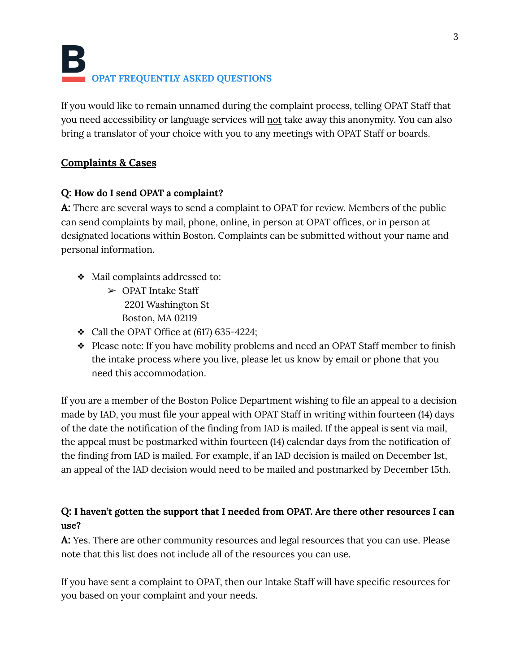# **OPAT FREQUENTLY ASKED QUESTIONS**

If you would like to remain unnamed during the complaint process, telling OPAT Staff that you need accessibility or language services will not take away this anonymity. You can also bring a translator of your choice with you to any meetings with OPAT Staff or boards.

## **Complaints & Cases**

## **Q: How do I send OPAT a complaint?**

**A:** There are several ways to send a complaint to OPAT for review. Members of the public can send complaints by mail, phone, online, in person at OPAT offices, or in person at designated locations within Boston. Complaints can be submitted without your name and personal information.

- ❖ Mail complaints addressed to:
	- ➢ OPAT Intake Staff 2201 Washington St Boston, MA 02119
- $\triangleleft$  Call the OPAT Office at (617) 635-4224;
- ❖ Please note: If you have mobility problems and need an OPAT Staff member to finish the intake process where you live, please let us know by email or phone that you need this accommodation.

If you are a member of the Boston Police Department wishing to file an appeal to a decision made by IAD, you must file your appeal with OPAT Staff in writing within fourteen (14) days of the date the notification of the finding from IAD is mailed. If the appeal is sent via mail, the appeal must be postmarked within fourteen (14) calendar days from the notification of the finding from IAD is mailed. For example, if an IAD decision is mailed on December 1st, an appeal of the IAD decision would need to be mailed and postmarked by December 15th.

## **Q: I haven't gotten the support that I needed from OPAT. Are there other resources I can use?**

**A:** Yes. There are other community resources and legal resources that you can use. Please note that this list does not include all of the resources you can use.

If you have sent a complaint to OPAT, then our Intake Staff will have specific resources for you based on your complaint and your needs.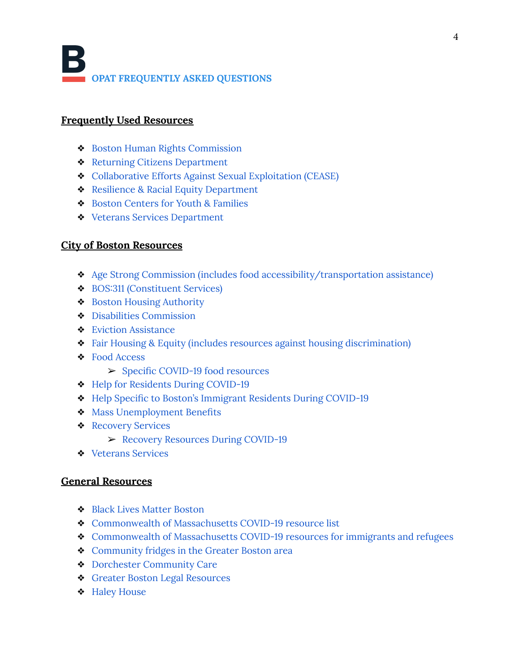#### **Frequently Used Resources**

- ❖ Boston Human Rights [Commission](https://www.boston.gov/boston-human-rights-commission)
- ❖ Returning Citizens [Department](https://www.boston.gov/departments/returning-citizens)
- ❖ [Collaborative](https://www.boston.gov/departments/womens-advancement/collaborative-efforts-against-sexual-exploitation-cease) Efforts Against Sexual Exploitation (CEASE)
- ❖ Resilience & Racial Equity [Department](https://www.boston.gov/departments/resilience-and-racial-equity)
- ❖ Boston Centers for Youth & [Families](https://www.boston.gov/departments/boston-centers-youth-families)
- ❖ Veterans Services [Department](https://www.boston.gov/departments/veterans-services)

#### **City of Boston Resources**

- ❖ Age Strong Commission (includes food [accessibility/transportation](https://www.boston.gov/departments/age-strong-commission) assistance)
- ❖ BOS:311 [\(Constituent](https://www.boston.gov/departments/bos311) Services)
- ❖ Boston Housing [Authority](https://www.bostonhousing.org/en/Home.aspx)
- ❖ Disabilities [Commission](https://www.boston.gov/departments/disabilities-commission)
- ❖ Eviction [Assistance](https://www.boston.gov/departments/neighborhood-development/what-do-when-facing-eviction)
- ❖ Fair Housing & Equity (includes resources against housing [discrimination\)](https://www.boston.gov/departments/fair-housing-and-equity)
- ❖ Food [Access](https://www.boston.gov/departments/food-access)
	- ➢ Specific [COVID-19](https://www.boston.gov/news/food-resources-during-covid-19) food resources
- ❖ Help for Residents During [COVID-19](https://www.boston.gov/health-and-human-services/covid-19-help-residents)
- ❖ Help Specific to Boston's [Immigrant](https://www.boston.gov/news/covid-19-resource-guide-bostons-immigrants) Residents During COVID-19
- ❖ Mass [Unemployment](https://www.mass.gov/how-to/apply-for-unemployment-benefits) Benefits
- ❖ [Recovery](https://www.boston.gov/departments/recovery-services) Services
	- ➢ Recovery [Resources](https://www.boston.gov/news/recovery-services-resources-during-covid-19) During COVID-19
- ❖ [Veterans](https://www.boston.gov/departments/veterans-services) Services

#### **General Resources**

- ❖ Black Lives Matter [Boston](https://blacklivesmatterboston.org/)
- ❖ [Commonwealth](https://www.mass.gov/guides/resources-during-covid-19) of Massachusetts COVID-19 resource list
- ❖ [Commonwealth](https://www.mass.gov/service-details/covid-19-resources-available-to-immigrants-and-refugees) of Massachusetts COVID-19 resources for immigrants and refugees
- ❖ [Community](https://boston.eater.com/maps/community-fridges-boston) fridges in the Greater Boston area
- ❖ Dorchester [Community](https://docs.google.com/document/d/1-16k_AKPNkVQXjMGogl913LSAPL7RBF9WL11-ANkXBU/edit) Care
- ❖ Greater Boston Legal [Resources](https://www.gbls.org/get-legal-help)
- ❖ Haley [House](https://haleyhouse.org/what-we-do/)